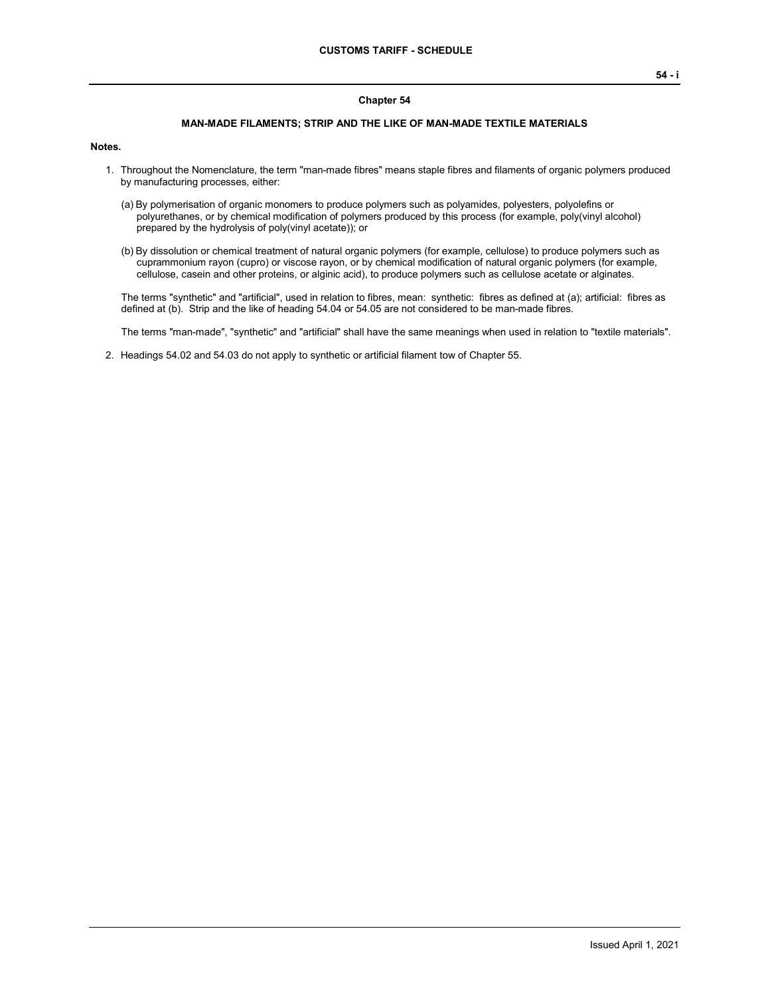#### **Chapter 54**

### **MAN-MADE FILAMENTS; STRIP AND THE LIKE OF MAN-MADE TEXTILE MATERIALS**

#### **Notes.**

- 1. Throughout the Nomenclature, the term "man-made fibres" means staple fibres and filaments of organic polymers produced by manufacturing processes, either:
	- (a) By polymerisation of organic monomers to produce polymers such as polyamides, polyesters, polyolefins or polyurethanes, or by chemical modification of polymers produced by this process (for example, poly(vinyl alcohol) prepared by the hydrolysis of poly(vinyl acetate)); or
	- (b) By dissolution or chemical treatment of natural organic polymers (for example, cellulose) to produce polymers such as cuprammonium rayon (cupro) or viscose rayon, or by chemical modification of natural organic polymers (for example, cellulose, casein and other proteins, or alginic acid), to produce polymers such as cellulose acetate or alginates.

The terms "synthetic" and "artificial", used in relation to fibres, mean: synthetic: fibres as defined at (a); artificial: fibres as defined at (b). Strip and the like of heading 54.04 or 54.05 are not considered to be man-made fibres.

The terms "man-made", "synthetic" and "artificial" shall have the same meanings when used in relation to "textile materials".

2. Headings 54.02 and 54.03 do not apply to synthetic or artificial filament tow of Chapter 55.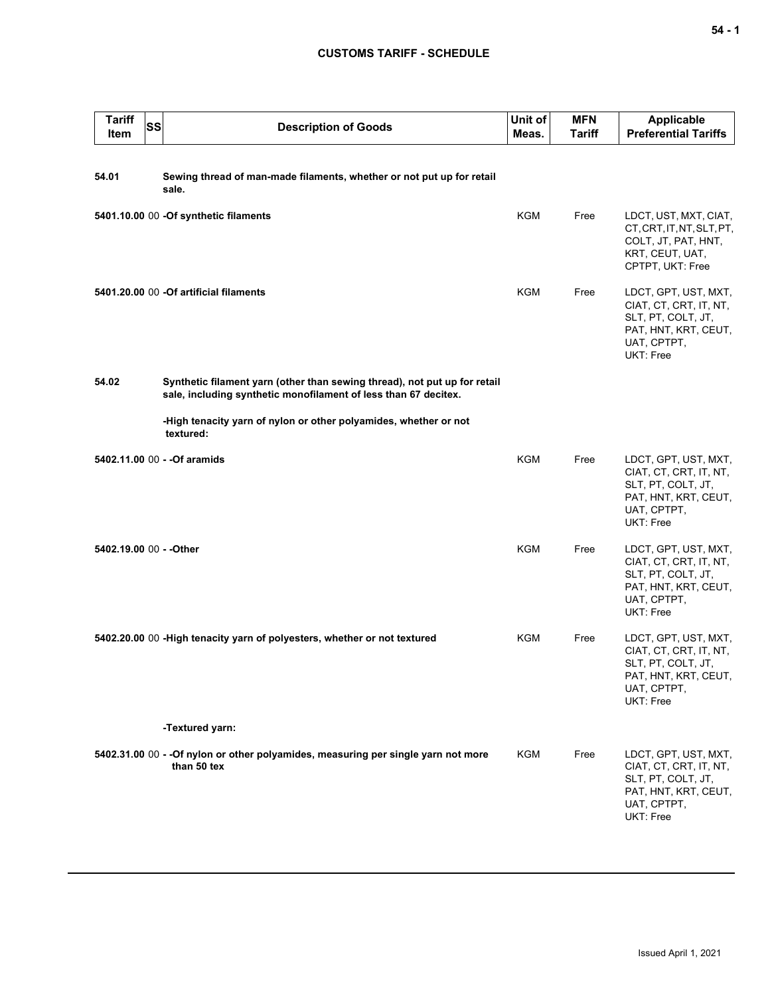## **CUSTOMS TARIFF - SCHEDULE**

| <b>Tariff</b><br><b>Item</b> | <b>SS</b> | <b>Description of Goods</b>                                                                                                                  | Unit of<br>Meas. | <b>MFN</b><br>Tariff | <b>Applicable</b><br><b>Preferential Tariffs</b>                                                                         |
|------------------------------|-----------|----------------------------------------------------------------------------------------------------------------------------------------------|------------------|----------------------|--------------------------------------------------------------------------------------------------------------------------|
| 54.01                        |           | Sewing thread of man-made filaments, whether or not put up for retail<br>sale.                                                               |                  |                      |                                                                                                                          |
|                              |           | 5401.10.00 00 -Of synthetic filaments                                                                                                        | KGM              | Free                 | LDCT, UST, MXT, CIAT,<br>CT, CRT, IT, NT, SLT, PT,<br>COLT, JT, PAT, HNT,<br>KRT, CEUT, UAT,<br>CPTPT, UKT: Free         |
|                              |           | 5401.20.00 00 -Of artificial filaments                                                                                                       | <b>KGM</b>       | Free                 | LDCT, GPT, UST, MXT,<br>CIAT, CT, CRT, IT, NT,<br>SLT, PT, COLT, JT,<br>PAT, HNT, KRT, CEUT,<br>UAT, CPTPT,<br>UKT: Free |
| 54.02                        |           | Synthetic filament yarn (other than sewing thread), not put up for retail<br>sale, including synthetic monofilament of less than 67 decitex. |                  |                      |                                                                                                                          |
|                              |           | -High tenacity yarn of nylon or other polyamides, whether or not<br>textured:                                                                |                  |                      |                                                                                                                          |
|                              |           | 5402.11.00 00 - - Of aramids                                                                                                                 | <b>KGM</b>       | Free                 | LDCT, GPT, UST, MXT,<br>CIAT, CT, CRT, IT, NT,<br>SLT, PT, COLT, JT,<br>PAT, HNT, KRT, CEUT,<br>UAT, CPTPT,<br>UKT: Free |
| 5402.19.00 00 - - Other      |           |                                                                                                                                              | <b>KGM</b>       | Free                 | LDCT, GPT, UST, MXT,<br>CIAT, CT, CRT, IT, NT,<br>SLT, PT, COLT, JT,<br>PAT, HNT, KRT, CEUT,<br>UAT, CPTPT,<br>UKT: Free |
|                              |           | 5402.20.00 00 - High tenacity yarn of polyesters, whether or not textured                                                                    | KGM              | Free                 | LDCT, GPT, UST, MXT,<br>CIAT, CT, CRT, IT, NT,<br>SLT, PT, COLT, JT,<br>PAT, HNT, KRT, CEUT,<br>UAT, CPTPT,<br>UKT: Free |
|                              |           | -Textured yarn:                                                                                                                              |                  |                      |                                                                                                                          |
|                              |           | 5402.31.00 00 - - Of nylon or other polyamides, measuring per single yarn not more<br>than 50 tex                                            | KGM              | Free                 | LDCT, GPT, UST, MXT,<br>CIAT, CT, CRT, IT, NT,<br>SLT, PT, COLT, JT,<br>PAT, HNT, KRT, CEUT,<br>UAT, CPTPT,<br>UKT: Free |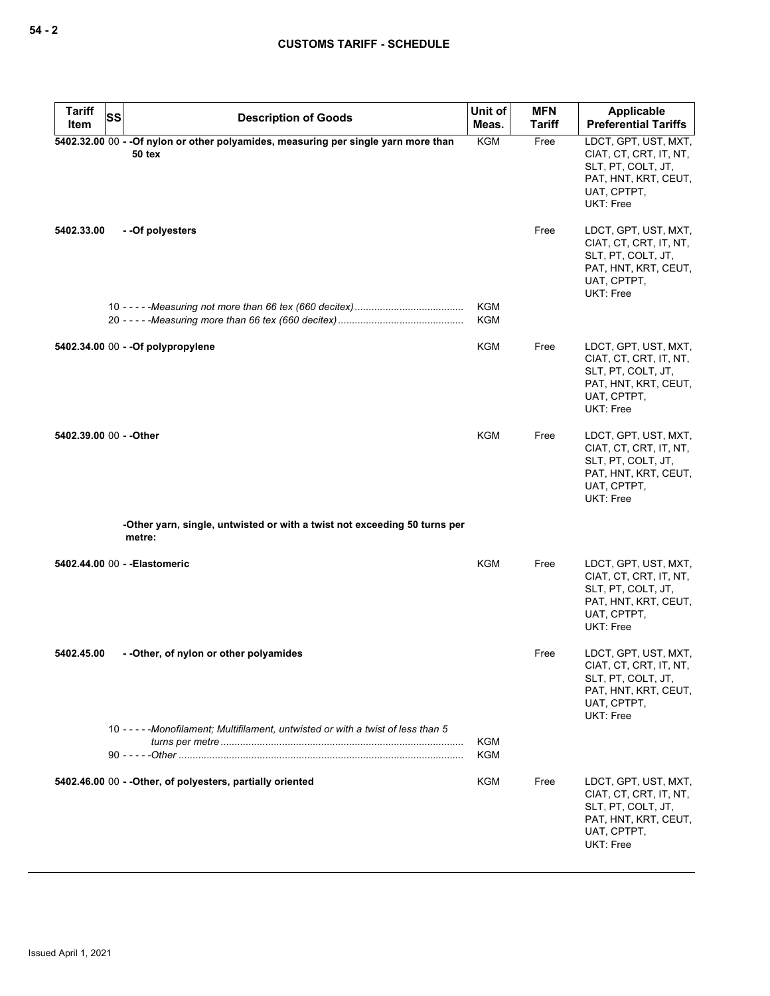| <b>Tariff</b><br>SS     |                                                                                                      | Unit of    | <b>MFN</b> | Applicable                                                                                                                      |
|-------------------------|------------------------------------------------------------------------------------------------------|------------|------------|---------------------------------------------------------------------------------------------------------------------------------|
| Item                    | <b>Description of Goods</b>                                                                          | Meas.      | Tariff     | <b>Preferential Tariffs</b>                                                                                                     |
|                         | 5402.32.00 00 - - Of nylon or other polyamides, measuring per single yarn more than<br><b>50 tex</b> | <b>KGM</b> | Free       | LDCT, GPT, UST, MXT,<br>CIAT, CT, CRT, IT, NT,<br>SLT, PT, COLT, JT,<br>PAT, HNT, KRT, CEUT,<br>UAT, CPTPT,<br><b>UKT: Free</b> |
| 5402.33.00              | --Of polyesters                                                                                      |            | Free       | LDCT, GPT, UST, MXT,<br>CIAT, CT, CRT, IT, NT,<br>SLT, PT, COLT, JT,<br>PAT, HNT, KRT, CEUT,<br>UAT, CPTPT,<br>UKT: Free        |
|                         |                                                                                                      | KGM<br>KGM |            |                                                                                                                                 |
|                         | 5402.34.00 00 - - Of polypropylene                                                                   | <b>KGM</b> | Free       | LDCT, GPT, UST, MXT,<br>CIAT, CT, CRT, IT, NT,<br>SLT, PT, COLT, JT,<br>PAT, HNT, KRT, CEUT,<br>UAT, CPTPT,<br>UKT: Free        |
| 5402.39.00 00 - - Other |                                                                                                      | KGM        | Free       | LDCT, GPT, UST, MXT,<br>CIAT, CT, CRT, IT, NT,<br>SLT, PT, COLT, JT,<br>PAT, HNT, KRT, CEUT,<br>UAT, CPTPT,<br>UKT: Free        |
|                         | -Other yarn, single, untwisted or with a twist not exceeding 50 turns per<br>metre:                  |            |            |                                                                                                                                 |
|                         | 5402.44.00 00 - - Elastomeric                                                                        | KGM        | Free       | LDCT, GPT, UST, MXT,<br>CIAT, CT, CRT, IT, NT,<br>SLT, PT, COLT, JT,<br>PAT, HNT, KRT, CEUT,<br>UAT, CPTPT,<br><b>UKT: Free</b> |
| 5402.45.00              | --Other, of nylon or other polyamides                                                                |            | Free       | LDCT, GPT, UST, MXT,<br>CIAT, CT, CRT, IT, NT,<br>SLT, PT, COLT, JT,<br>PAT, HNT, KRT, CEUT,<br>UAT, CPTPT,<br><b>UKT: Free</b> |
|                         | 10 -----Monofilament; Multifilament, untwisted or with a twist of less than 5                        | KGM<br>KGM |            |                                                                                                                                 |
|                         | 5402.46.00 00 - - Other, of polyesters, partially oriented                                           | KGM        | Free       | LDCT, GPT, UST, MXT,<br>CIAT, CT, CRT, IT, NT,<br>SLT, PT, COLT, JT,<br>PAT, HNT, KRT, CEUT,<br>UAT, CPTPT,<br>UKT: Free        |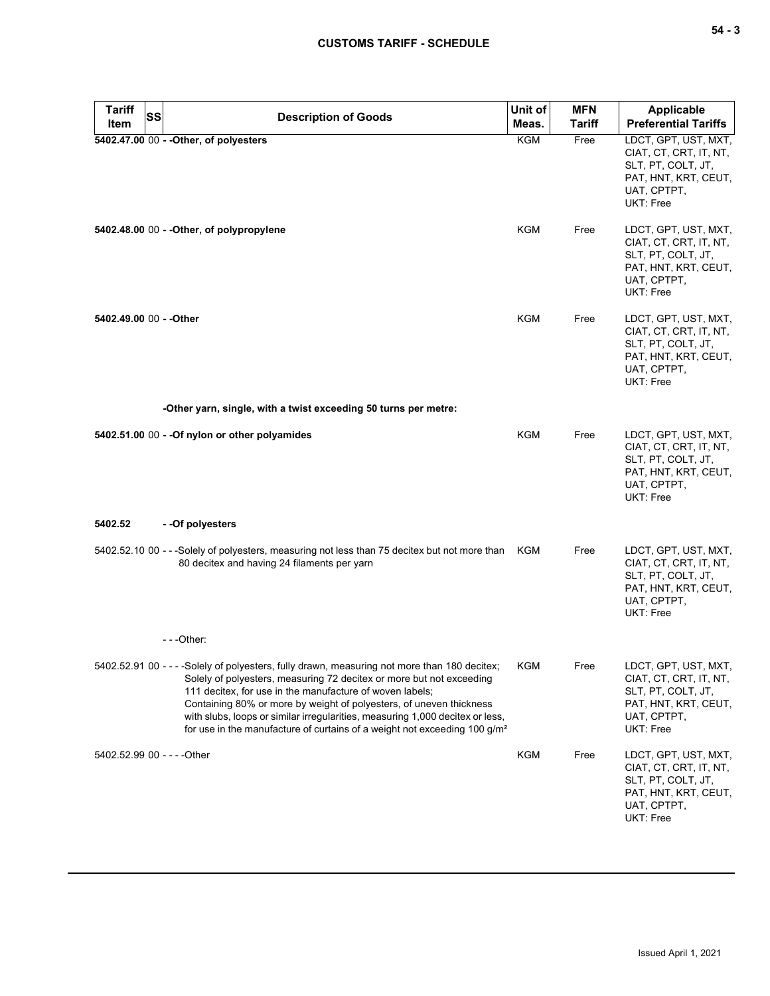| <b>Tariff</b><br>Item       | <b>SS</b> | <b>Description of Goods</b>                                                                                                                                                                                                                                                                                                                                                                                                                                                        | Unit of<br>Meas. | <b>MFN</b><br><b>Tariff</b> | Applicable<br><b>Preferential Tariffs</b>                                                                                |
|-----------------------------|-----------|------------------------------------------------------------------------------------------------------------------------------------------------------------------------------------------------------------------------------------------------------------------------------------------------------------------------------------------------------------------------------------------------------------------------------------------------------------------------------------|------------------|-----------------------------|--------------------------------------------------------------------------------------------------------------------------|
|                             |           | 5402.47.00 00 - - Other, of polyesters                                                                                                                                                                                                                                                                                                                                                                                                                                             | KGM              | Free                        | LDCT, GPT, UST, MXT,                                                                                                     |
|                             |           |                                                                                                                                                                                                                                                                                                                                                                                                                                                                                    |                  |                             | CIAT, CT, CRT, IT, NT,<br>SLT, PT, COLT, JT,<br>PAT, HNT, KRT, CEUT,<br>UAT, CPTPT,<br>UKT: Free                         |
|                             |           | 5402.48.00 00 - - Other, of polypropylene                                                                                                                                                                                                                                                                                                                                                                                                                                          | KGM              | Free                        | LDCT, GPT, UST, MXT,<br>CIAT, CT, CRT, IT, NT,<br>SLT, PT, COLT, JT,<br>PAT, HNT, KRT, CEUT,<br>UAT, CPTPT,<br>UKT: Free |
| 5402.49.00 00 - - Other     |           |                                                                                                                                                                                                                                                                                                                                                                                                                                                                                    | <b>KGM</b>       | Free                        | LDCT, GPT, UST, MXT,<br>CIAT, CT, CRT, IT, NT,<br>SLT, PT, COLT, JT,<br>PAT, HNT, KRT, CEUT,<br>UAT, CPTPT,<br>UKT: Free |
|                             |           | -Other yarn, single, with a twist exceeding 50 turns per metre:                                                                                                                                                                                                                                                                                                                                                                                                                    |                  |                             |                                                                                                                          |
|                             |           | 5402.51.00 00 - - Of nylon or other polyamides                                                                                                                                                                                                                                                                                                                                                                                                                                     | <b>KGM</b>       | Free                        | LDCT, GPT, UST, MXT,<br>CIAT, CT, CRT, IT, NT,<br>SLT, PT, COLT, JT,<br>PAT, HNT, KRT, CEUT,<br>UAT, CPTPT,<br>UKT: Free |
| 5402.52                     |           | - - Of polyesters                                                                                                                                                                                                                                                                                                                                                                                                                                                                  |                  |                             |                                                                                                                          |
|                             |           | 5402.52.10 00 - - -Solely of polyesters, measuring not less than 75 decitex but not more than KGM<br>80 decitex and having 24 filaments per yarn                                                                                                                                                                                                                                                                                                                                   |                  | Free                        | LDCT, GPT, UST, MXT,<br>CIAT, CT, CRT, IT, NT,<br>SLT, PT, COLT, JT,<br>PAT, HNT, KRT, CEUT,<br>UAT, CPTPT,<br>UKT: Free |
|                             |           | - - -Other:                                                                                                                                                                                                                                                                                                                                                                                                                                                                        |                  |                             |                                                                                                                          |
|                             |           | 5402.52.91 00 - - - - Solely of polyesters, fully drawn, measuring not more than 180 decitex;<br>Solely of polyesters, measuring 72 decitex or more but not exceeding<br>111 decitex, for use in the manufacture of woven labels;<br>Containing 80% or more by weight of polyesters, of uneven thickness<br>with slubs, loops or similar irregularities, measuring 1,000 decitex or less,<br>for use in the manufacture of curtains of a weight not exceeding 100 g/m <sup>2</sup> | KGM              | Free                        | LDCT, GPT, UST, MXT,<br>CIAT, CT, CRT, IT, NT,<br>SLT, PT, COLT, JT,<br>PAT, HNT, KRT, CEUT,<br>UAT, CPTPT,<br>UKT: Free |
| 5402.52.99 00 - - - - Other |           |                                                                                                                                                                                                                                                                                                                                                                                                                                                                                    | <b>KGM</b>       | Free                        | LDCT, GPT, UST, MXT,<br>CIAT, CT, CRT, IT, NT,<br>SLT, PT, COLT, JT,<br>PAT, HNT, KRT, CEUT,<br>UAT, CPTPT,<br>UKT: Free |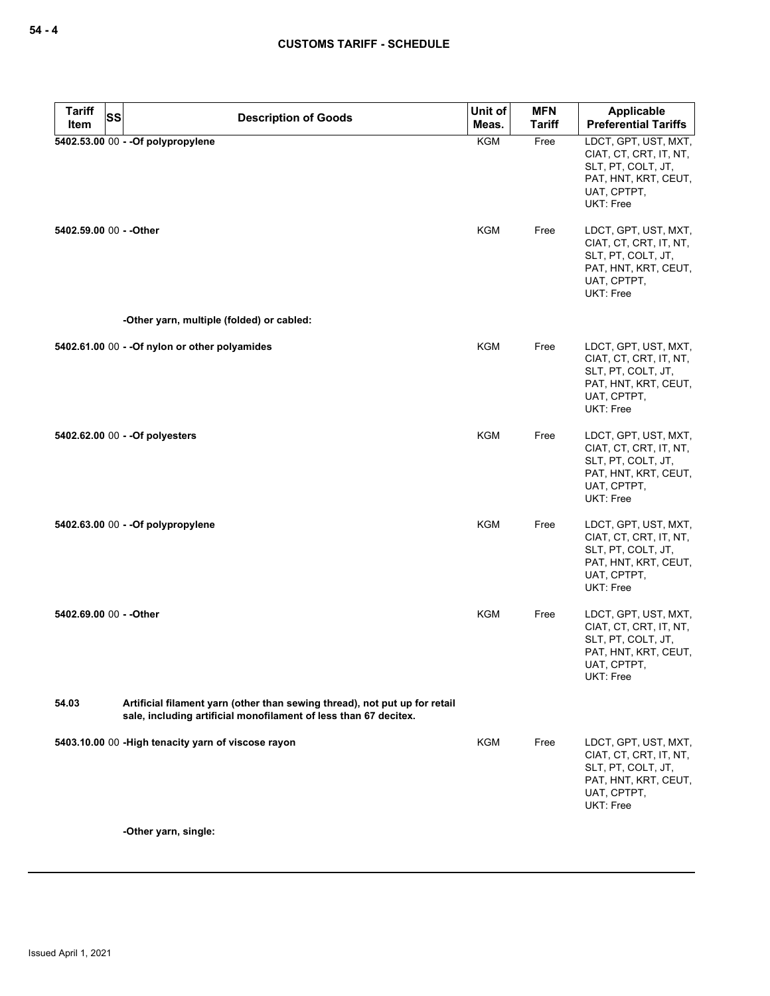| <b>Tariff</b>           | <b>SS</b><br><b>Description of Goods</b>                                                                                                       | Unit of    | <b>MFN</b>    | Applicable                                                                                                               |
|-------------------------|------------------------------------------------------------------------------------------------------------------------------------------------|------------|---------------|--------------------------------------------------------------------------------------------------------------------------|
| Item                    |                                                                                                                                                | Meas.      | <b>Tariff</b> | <b>Preferential Tariffs</b>                                                                                              |
|                         | 5402.53.00 00 - - Of polypropylene                                                                                                             | <b>KGM</b> | Free          | LDCT, GPT, UST, MXT,<br>CIAT, CT, CRT, IT, NT,<br>SLT, PT, COLT, JT,<br>PAT, HNT, KRT, CEUT,<br>UAT, CPTPT,<br>UKT: Free |
| 5402.59.00 00 - - Other |                                                                                                                                                | <b>KGM</b> | Free          | LDCT, GPT, UST, MXT,<br>CIAT, CT, CRT, IT, NT,<br>SLT, PT, COLT, JT,<br>PAT, HNT, KRT, CEUT,<br>UAT, CPTPT,<br>UKT: Free |
|                         | -Other yarn, multiple (folded) or cabled:                                                                                                      |            |               |                                                                                                                          |
|                         | 5402.61.00 00 - - Of nylon or other polyamides                                                                                                 | <b>KGM</b> | Free          | LDCT, GPT, UST, MXT,<br>CIAT, CT, CRT, IT, NT,<br>SLT, PT, COLT, JT,<br>PAT, HNT, KRT, CEUT,<br>UAT, CPTPT,<br>UKT: Free |
|                         | 5402.62.00 00 - - Of polyesters                                                                                                                | <b>KGM</b> | Free          | LDCT, GPT, UST, MXT,<br>CIAT, CT, CRT, IT, NT,<br>SLT, PT, COLT, JT,<br>PAT, HNT, KRT, CEUT,<br>UAT, CPTPT,<br>UKT: Free |
|                         | 5402.63.00 00 - - Of polypropylene                                                                                                             | <b>KGM</b> | Free          | LDCT, GPT, UST, MXT,<br>CIAT, CT, CRT, IT, NT,<br>SLT, PT, COLT, JT,<br>PAT, HNT, KRT, CEUT,<br>UAT, CPTPT,<br>UKT: Free |
| 5402.69.00 00 - - Other |                                                                                                                                                | <b>KGM</b> | Free          | LDCT, GPT, UST, MXT,<br>CIAT, CT, CRT, IT, NT,<br>SLT, PT, COLT, JT,<br>PAT, HNT, KRT, CEUT,<br>UAT, CPTPT,<br>UKT: Free |
| 54.03                   | Artificial filament yarn (other than sewing thread), not put up for retail<br>sale, including artificial monofilament of less than 67 decitex. |            |               |                                                                                                                          |
|                         | 5403.10.00 00 - High tenacity yarn of viscose rayon                                                                                            | <b>KGM</b> | Free          | LDCT, GPT, UST, MXT,<br>CIAT, CT, CRT, IT, NT,<br>SLT, PT, COLT, JT,<br>PAT, HNT, KRT, CEUT,<br>UAT, CPTPT,<br>UKT: Free |

**-Other yarn, single:**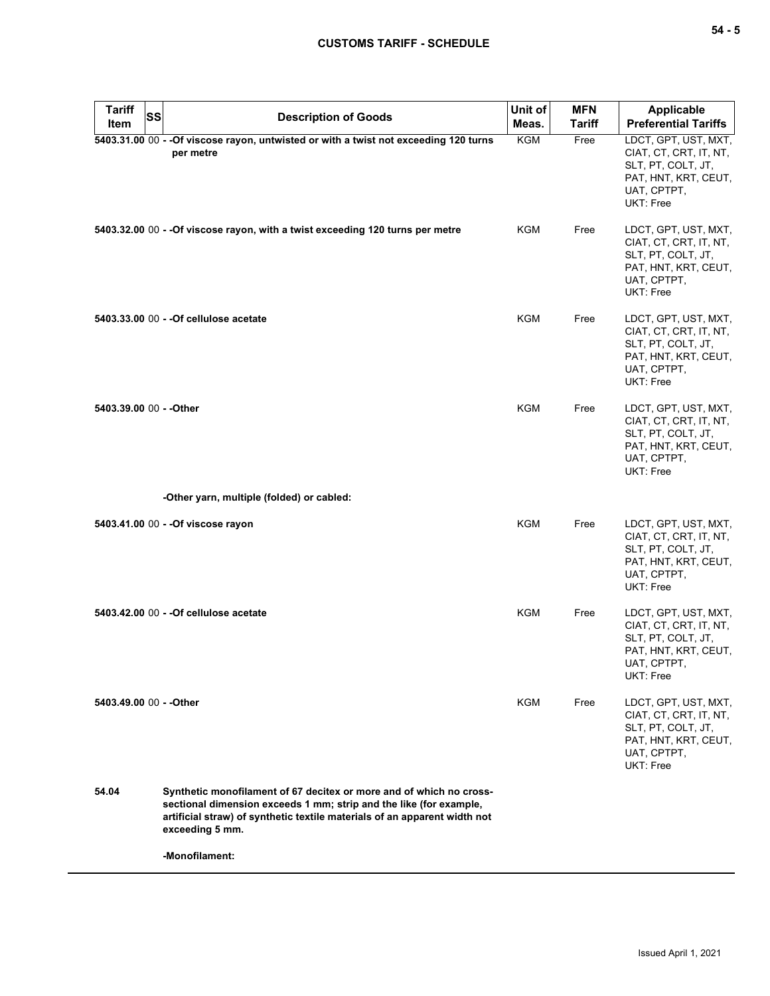| Tariff<br>SS<br>Item    | <b>Description of Goods</b>                                                                                                                                                                                                               | Unit of<br>Meas. | <b>MFN</b><br>Tariff | <b>Applicable</b><br><b>Preferential Tariffs</b>                                                                         |
|-------------------------|-------------------------------------------------------------------------------------------------------------------------------------------------------------------------------------------------------------------------------------------|------------------|----------------------|--------------------------------------------------------------------------------------------------------------------------|
|                         | 5403.31.00 00 - - Of viscose rayon, untwisted or with a twist not exceeding 120 turns<br>per metre                                                                                                                                        | <b>KGM</b>       | Free                 | LDCT, GPT, UST, MXT,<br>CIAT, CT, CRT, IT, NT,<br>SLT, PT, COLT, JT,<br>PAT, HNT, KRT, CEUT,<br>UAT, CPTPT,<br>UKT: Free |
|                         | 5403.32.00 00 - - Of viscose rayon, with a twist exceeding 120 turns per metre                                                                                                                                                            | KGM              | Free                 | LDCT, GPT, UST, MXT,<br>CIAT, CT, CRT, IT, NT,<br>SLT, PT, COLT, JT,<br>PAT, HNT, KRT, CEUT,<br>UAT, CPTPT,<br>UKT: Free |
|                         | 5403.33.00 00 - - Of cellulose acetate                                                                                                                                                                                                    | <b>KGM</b>       | Free                 | LDCT, GPT, UST, MXT,<br>CIAT, CT, CRT, IT, NT,<br>SLT, PT, COLT, JT,<br>PAT, HNT, KRT, CEUT,<br>UAT, CPTPT,<br>UKT: Free |
| 5403.39.00 00 - - Other |                                                                                                                                                                                                                                           | <b>KGM</b>       | Free                 | LDCT, GPT, UST, MXT,<br>CIAT, CT, CRT, IT, NT,<br>SLT, PT, COLT, JT,<br>PAT, HNT, KRT, CEUT,<br>UAT, CPTPT,<br>UKT: Free |
|                         | -Other yarn, multiple (folded) or cabled:                                                                                                                                                                                                 |                  |                      |                                                                                                                          |
|                         | 5403.41.00 00 - - Of viscose rayon                                                                                                                                                                                                        | <b>KGM</b>       | Free                 | LDCT, GPT, UST, MXT,<br>CIAT, CT, CRT, IT, NT,<br>SLT, PT, COLT, JT,<br>PAT, HNT, KRT, CEUT,<br>UAT, CPTPT,<br>UKT: Free |
|                         | 5403.42.00 00 - - Of cellulose acetate                                                                                                                                                                                                    | <b>KGM</b>       | Free                 | LDCT, GPT, UST, MXT,<br>CIAT, CT, CRT, IT, NT,<br>SLT, PT, COLT, JT,<br>PAT, HNT, KRT, CEUT,<br>UAT, CPTPT,<br>UKT: Free |
| 5403.49.00 00 - - Other |                                                                                                                                                                                                                                           | KGM              | Free                 | LDCT, GPT, UST, MXT,<br>CIAT, CT, CRT, IT, NT,<br>SLT, PT, COLT, JT,<br>PAT, HNT, KRT, CEUT,<br>UAT, CPTPT,<br>UKT: Free |
| 54.04                   | Synthetic monofilament of 67 decitex or more and of which no cross-<br>sectional dimension exceeds 1 mm; strip and the like (for example,<br>artificial straw) of synthetic textile materials of an apparent width not<br>exceeding 5 mm. |                  |                      |                                                                                                                          |
|                         | -Monofilament:                                                                                                                                                                                                                            |                  |                      |                                                                                                                          |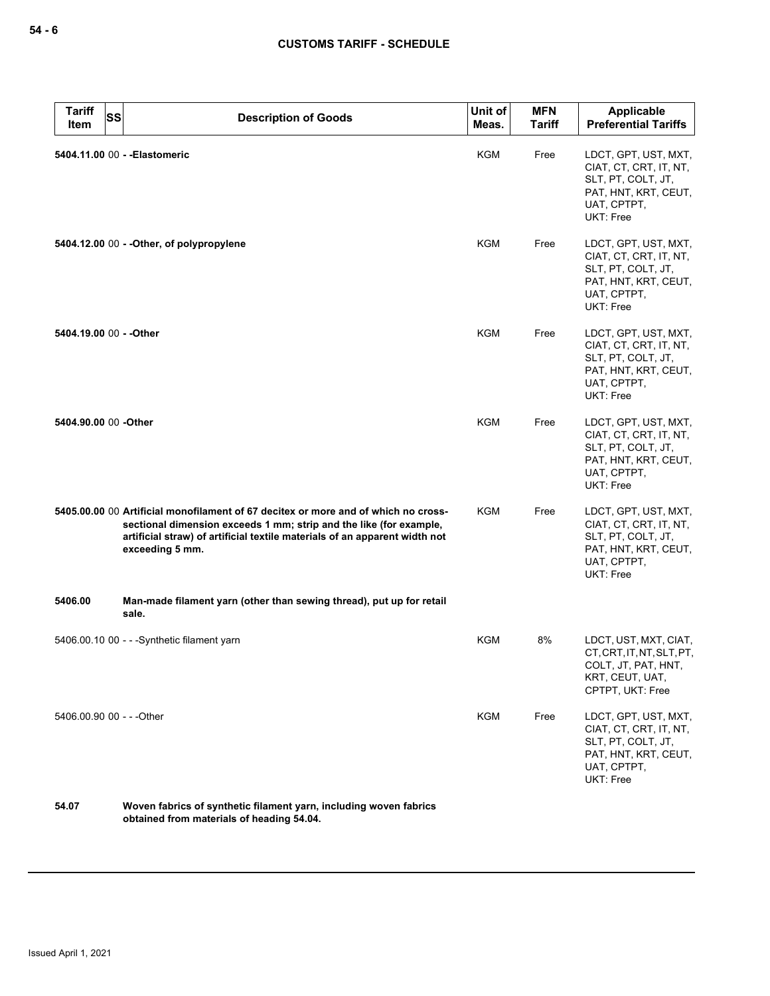| <b>Tariff</b><br><b>SS</b><br><b>Item</b> | <b>Description of Goods</b>                                                                                                                                                                                                                               | Unit of<br>Meas. | <b>MFN</b><br><b>Tariff</b> | Applicable<br><b>Preferential Tariffs</b>                                                                                |
|-------------------------------------------|-----------------------------------------------------------------------------------------------------------------------------------------------------------------------------------------------------------------------------------------------------------|------------------|-----------------------------|--------------------------------------------------------------------------------------------------------------------------|
|                                           | 5404.11.00 00 - - Elastomeric                                                                                                                                                                                                                             | <b>KGM</b>       | Free                        | LDCT, GPT, UST, MXT,<br>CIAT, CT, CRT, IT, NT,<br>SLT, PT, COLT, JT,<br>PAT, HNT, KRT, CEUT,<br>UAT, CPTPT,<br>UKT: Free |
|                                           | 5404.12.00 00 - - Other, of polypropylene                                                                                                                                                                                                                 | KGM              | Free                        | LDCT, GPT, UST, MXT,<br>CIAT, CT, CRT, IT, NT,<br>SLT, PT, COLT, JT,<br>PAT, HNT, KRT, CEUT,<br>UAT, CPTPT,<br>UKT: Free |
| 5404.19.00 00 - - Other                   |                                                                                                                                                                                                                                                           | <b>KGM</b>       | Free                        | LDCT, GPT, UST, MXT,<br>CIAT, CT, CRT, IT, NT,<br>SLT, PT, COLT, JT,<br>PAT, HNT, KRT, CEUT,<br>UAT, CPTPT,<br>UKT: Free |
| 5404.90.00 00 -Other                      |                                                                                                                                                                                                                                                           | <b>KGM</b>       | Free                        | LDCT, GPT, UST, MXT,<br>CIAT, CT, CRT, IT, NT,<br>SLT, PT, COLT, JT,<br>PAT, HNT, KRT, CEUT,<br>UAT, CPTPT,<br>UKT: Free |
|                                           | 5405.00.00 00 Artificial monofilament of 67 decitex or more and of which no cross-<br>sectional dimension exceeds 1 mm; strip and the like (for example,<br>artificial straw) of artificial textile materials of an apparent width not<br>exceeding 5 mm. | KGM              | Free                        | LDCT, GPT, UST, MXT,<br>CIAT, CT, CRT, IT, NT,<br>SLT, PT, COLT, JT,<br>PAT, HNT, KRT, CEUT,<br>UAT, CPTPT,<br>UKT: Free |
| 5406.00                                   | Man-made filament yarn (other than sewing thread), put up for retail<br>sale.                                                                                                                                                                             |                  |                             |                                                                                                                          |
|                                           | 5406.00.10 00 - - - Synthetic filament yarn                                                                                                                                                                                                               | KGM              | 8%                          | LDCT, UST, MXT, CIAT,<br>CT, CRT, IT, NT, SLT, PT,<br>COLT, JT, PAT, HNT,<br>KRT, CEUT, UAT,<br>CPTPT, UKT: Free         |
| 5406.00.90 00 - - - Other                 |                                                                                                                                                                                                                                                           | <b>KGM</b>       | Free                        | LDCT, GPT, UST, MXT,<br>CIAT, CT, CRT, IT, NT,<br>SLT, PT, COLT, JT,<br>PAT, HNT, KRT, CEUT,<br>UAT, CPTPT,<br>UKT: Free |
|                                           |                                                                                                                                                                                                                                                           |                  |                             |                                                                                                                          |

**54.07 Woven fabrics of synthetic filament yarn, including woven fabrics obtained from materials of heading 54.04.**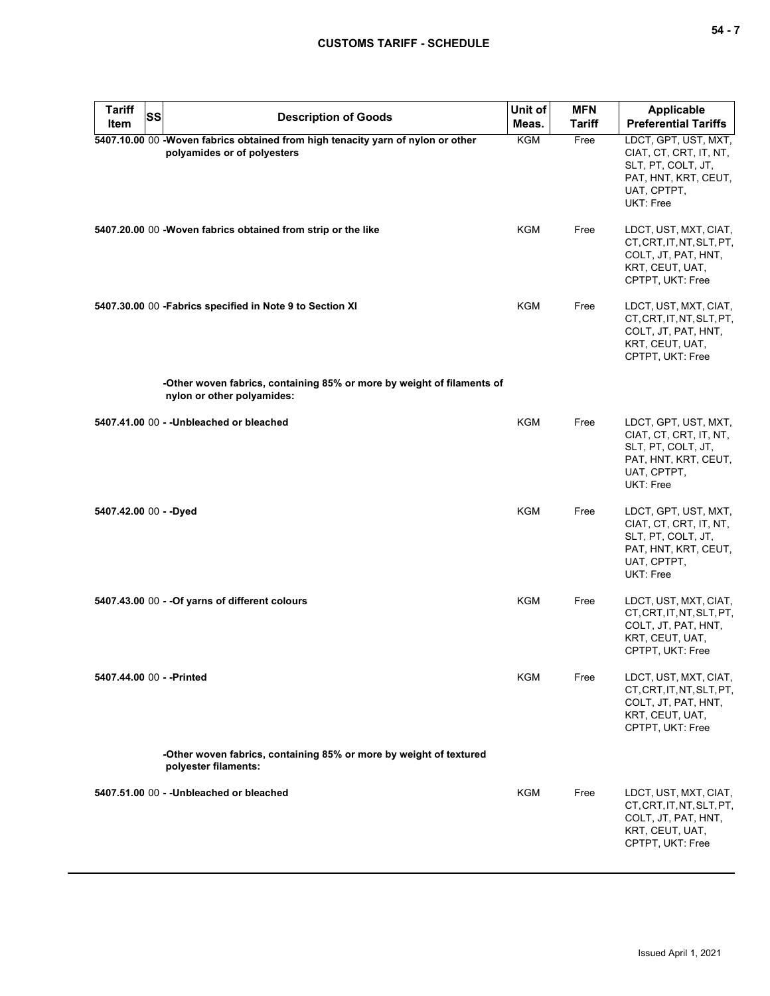| <b>Tariff</b><br>Item  | <b>SS</b><br><b>Description of Goods</b>                                                                       | Unit of<br>Meas. | <b>MFN</b><br><b>Tariff</b> | <b>Applicable</b><br><b>Preferential Tariffs</b>                                                                         |
|------------------------|----------------------------------------------------------------------------------------------------------------|------------------|-----------------------------|--------------------------------------------------------------------------------------------------------------------------|
|                        | 5407.10.00 00 -Woven fabrics obtained from high tenacity yarn of nylon or other<br>polyamides or of polyesters | KGM              | Free                        | LDCT, GPT, UST, MXT,<br>CIAT, CT, CRT, IT, NT,<br>SLT, PT, COLT, JT,<br>PAT, HNT, KRT, CEUT,<br>UAT, CPTPT,<br>UKT: Free |
|                        | 5407.20.00 00 -Woven fabrics obtained from strip or the like                                                   | <b>KGM</b>       | Free                        | LDCT, UST, MXT, CIAT,<br>CT, CRT, IT, NT, SLT, PT,<br>COLT, JT, PAT, HNT,<br>KRT, CEUT, UAT,<br>CPTPT, UKT: Free         |
|                        | 5407.30.00 00 - Fabrics specified in Note 9 to Section XI                                                      | KGM              | Free                        | LDCT, UST, MXT, CIAT,<br>CT, CRT, IT, NT, SLT, PT,<br>COLT, JT, PAT, HNT,<br>KRT, CEUT, UAT,<br>CPTPT, UKT: Free         |
|                        | -Other woven fabrics, containing 85% or more by weight of filaments of<br>nylon or other polyamides:           |                  |                             |                                                                                                                          |
|                        | 5407.41.00 00 - - Unbleached or bleached                                                                       | <b>KGM</b>       | Free                        | LDCT, GPT, UST, MXT,<br>CIAT, CT, CRT, IT, NT,<br>SLT, PT, COLT, JT,<br>PAT, HNT, KRT, CEUT,<br>UAT, CPTPT,<br>UKT: Free |
| 5407.42.00 00 - - Dyed |                                                                                                                | <b>KGM</b>       | Free                        | LDCT, GPT, UST, MXT,<br>CIAT, CT, CRT, IT, NT,<br>SLT, PT, COLT, JT,<br>PAT, HNT, KRT, CEUT,<br>UAT, CPTPT,<br>UKT: Free |
|                        | 5407.43.00 00 - - Of yarns of different colours                                                                | KGM              | Free                        | LDCT, UST, MXT, CIAT,<br>CT, CRT, IT, NT, SLT, PT,<br>COLT, JT, PAT, HNT,<br>KRT, CEUT, UAT,<br>CPTPT, UKT: Free         |
|                        | 5407.44.00 00 - - Printed                                                                                      | <b>KGM</b>       | Free                        | LDCT, UST, MXT, CIAT,<br>CT, CRT, IT, NT, SLT, PT,<br>COLT, JT, PAT, HNT,<br>KRT, CEUT, UAT,<br>CPTPT, UKT: Free         |
|                        | -Other woven fabrics, containing 85% or more by weight of textured<br>polyester filaments:                     |                  |                             |                                                                                                                          |
|                        | 5407.51.00 00 - - Unbleached or bleached                                                                       | KGM              | Free                        | LDCT, UST, MXT, CIAT,<br>CT, CRT, IT, NT, SLT, PT,<br>COLT, JT, PAT, HNT,<br>KRT, CEUT, UAT,<br>CPTPT, UKT: Free         |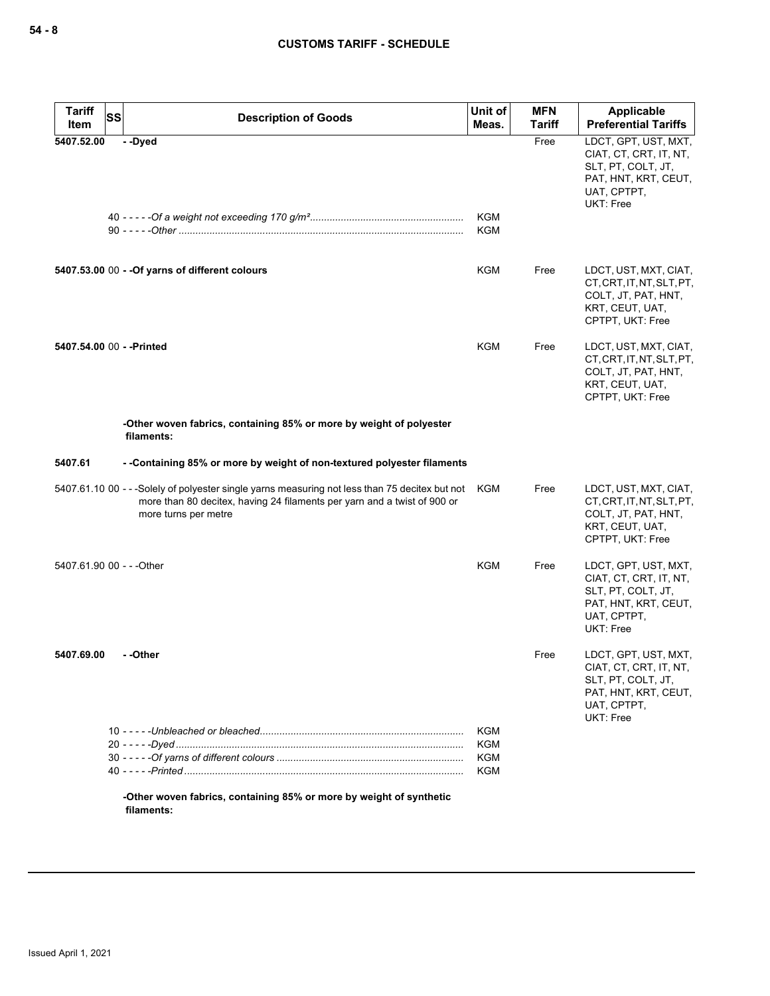| <b>Tariff</b><br>ltem     | <b>SS</b> | <b>Description of Goods</b>                                                                                                                                                                            | Unit of<br>Meas.         | <b>MFN</b><br><b>Tariff</b> | Applicable<br><b>Preferential Tariffs</b>                                                                                |
|---------------------------|-----------|--------------------------------------------------------------------------------------------------------------------------------------------------------------------------------------------------------|--------------------------|-----------------------------|--------------------------------------------------------------------------------------------------------------------------|
| 5407.52.00                |           | --Dyed                                                                                                                                                                                                 | <b>KGM</b><br><b>KGM</b> | Free                        | LDCT, GPT, UST, MXT,<br>CIAT, CT, CRT, IT, NT,<br>SLT, PT, COLT, JT,<br>PAT, HNT, KRT, CEUT,<br>UAT, CPTPT,<br>UKT: Free |
|                           |           | 5407.53.00 00 - - Of yarns of different colours                                                                                                                                                        | KGM                      | Free                        | LDCT, UST, MXT, CIAT,<br>CT, CRT, IT, NT, SLT, PT,<br>COLT, JT, PAT, HNT,<br>KRT, CEUT, UAT,<br>CPTPT, UKT: Free         |
| 5407.54.00 00 - - Printed |           |                                                                                                                                                                                                        | KGM                      | Free                        | LDCT, UST, MXT, CIAT,<br>CT, CRT, IT, NT, SLT, PT,<br>COLT, JT, PAT, HNT,<br>KRT, CEUT, UAT,<br>CPTPT, UKT: Free         |
|                           |           | -Other woven fabrics, containing 85% or more by weight of polyester<br>filaments:                                                                                                                      |                          |                             |                                                                                                                          |
| 5407.61                   |           | - -Containing 85% or more by weight of non-textured polyester filaments                                                                                                                                |                          |                             |                                                                                                                          |
|                           |           | 5407.61.10 00 - - -Solely of polyester single yarns measuring not less than 75 decitex but not KGM<br>more than 80 decitex, having 24 filaments per yarn and a twist of 900 or<br>more turns per metre |                          | Free                        | LDCT, UST, MXT, CIAT,<br>CT, CRT, IT, NT, SLT, PT,<br>COLT, JT, PAT, HNT,<br>KRT, CEUT, UAT,<br>CPTPT, UKT: Free         |
| 5407.61.90 00 - - - Other |           |                                                                                                                                                                                                        | <b>KGM</b>               | Free                        | LDCT, GPT, UST, MXT,<br>CIAT, CT, CRT, IT, NT,<br>SLT, PT, COLT, JT,<br>PAT, HNT, KRT, CEUT,<br>UAT, CPTPT,<br>UKT: Free |
| 5407.69.00                |           | - -Other                                                                                                                                                                                               |                          | Free                        | LDCT, GPT, UST, MXT,<br>CIAT, CT, CRT, IT, NT,<br>SLT, PT, COLT, JT,<br>PAT, HNT, KRT, CEUT,<br>UAT, CPTPT,<br>UKT: Free |
|                           |           |                                                                                                                                                                                                        | <b>KGM</b><br><b>KGM</b> |                             |                                                                                                                          |
|                           |           |                                                                                                                                                                                                        | KGM                      |                             |                                                                                                                          |
|                           |           |                                                                                                                                                                                                        | KGM                      |                             |                                                                                                                          |

**-Other woven fabrics, containing 85% or more by weight of synthetic filaments:**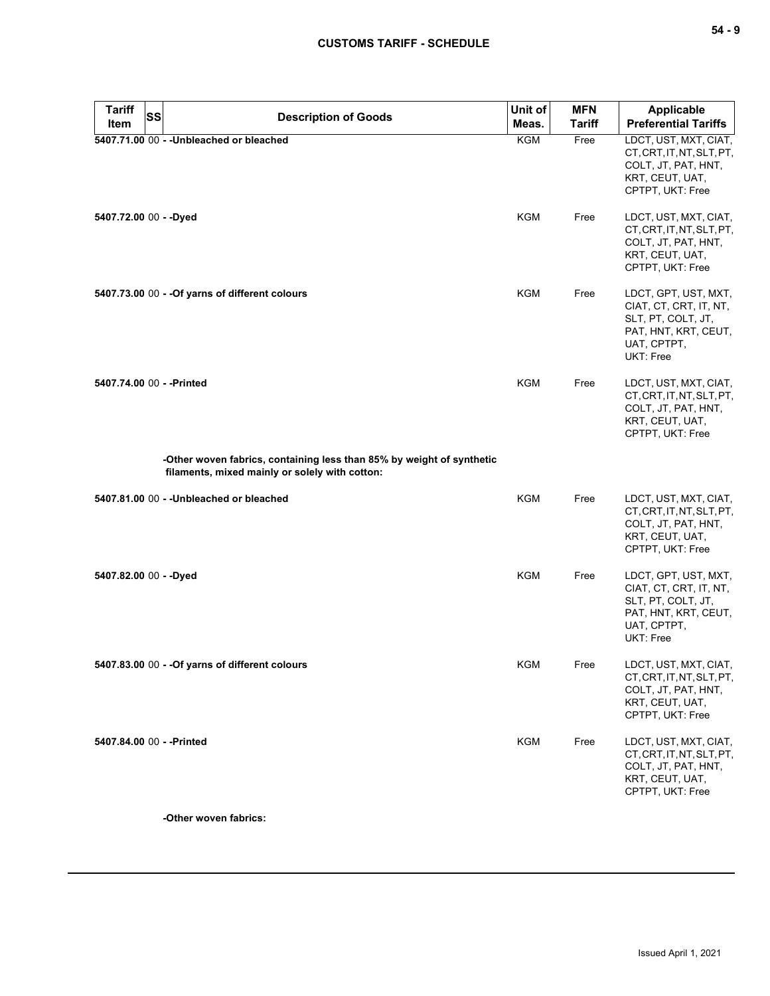| <b>Tariff</b><br>Item  | <b>SS</b> | <b>Description of Goods</b>                                                                                             | Unit of<br>Meas. | <b>MFN</b><br><b>Tariff</b> | Applicable<br><b>Preferential Tariffs</b>                                                                                |
|------------------------|-----------|-------------------------------------------------------------------------------------------------------------------------|------------------|-----------------------------|--------------------------------------------------------------------------------------------------------------------------|
|                        |           | 5407.71.00 00 - - Unbleached or bleached                                                                                | KGM              | Free                        | LDCT, UST, MXT, CIAT,<br>CT, CRT, IT, NT, SLT, PT,<br>COLT, JT, PAT, HNT,<br>KRT, CEUT, UAT,<br>CPTPT, UKT: Free         |
| 5407.72.00 00 - - Dyed |           |                                                                                                                         | <b>KGM</b>       | Free                        | LDCT, UST, MXT, CIAT,<br>CT, CRT, IT, NT, SLT, PT,<br>COLT, JT, PAT, HNT,<br>KRT, CEUT, UAT,<br>CPTPT, UKT: Free         |
|                        |           | 5407.73.00 00 - - Of yarns of different colours                                                                         | KGM              | Free                        | LDCT, GPT, UST, MXT,<br>CIAT, CT, CRT, IT, NT,<br>SLT, PT, COLT, JT,<br>PAT, HNT, KRT, CEUT,<br>UAT, CPTPT,<br>UKT: Free |
|                        |           | 5407.74.00 00 - - Printed                                                                                               | <b>KGM</b>       | Free                        | LDCT, UST, MXT, CIAT,<br>CT, CRT, IT, NT, SLT, PT,<br>COLT, JT, PAT, HNT,<br>KRT, CEUT, UAT,<br>CPTPT, UKT: Free         |
|                        |           | -Other woven fabrics, containing less than 85% by weight of synthetic<br>filaments, mixed mainly or solely with cotton: |                  |                             |                                                                                                                          |
|                        |           | 5407.81.00 00 - - Unbleached or bleached                                                                                | <b>KGM</b>       | Free                        | LDCT, UST, MXT, CIAT,<br>CT, CRT, IT, NT, SLT, PT,<br>COLT, JT, PAT, HNT,<br>KRT, CEUT, UAT,<br>CPTPT, UKT: Free         |
| 5407.82.00 00 - - Dyed |           |                                                                                                                         | <b>KGM</b>       | Free                        | LDCT, GPT, UST, MXT,<br>CIAT, CT, CRT, IT, NT,<br>SLT, PT, COLT, JT,<br>PAT, HNT, KRT, CEUT,<br>UAT, CPTPT,<br>UKT: Free |
|                        |           | 5407.83.00 00 - - Of yarns of different colours                                                                         | <b>KGM</b>       | Free                        | LDCT, UST, MXT, CIAT,<br>CT, CRT, IT, NT, SLT, PT,<br>COLT, JT, PAT, HNT,<br>KRT, CEUT, UAT,<br>CPTPT, UKT: Free         |
|                        |           | 5407.84.00 00 - - Printed                                                                                               | <b>KGM</b>       | Free                        | LDCT, UST, MXT, CIAT,<br>CT, CRT, IT, NT, SLT, PT,<br>COLT, JT, PAT, HNT,<br>KRT, CEUT, UAT,                             |

**-Other woven fabrics:**

CPTPT, UKT: Free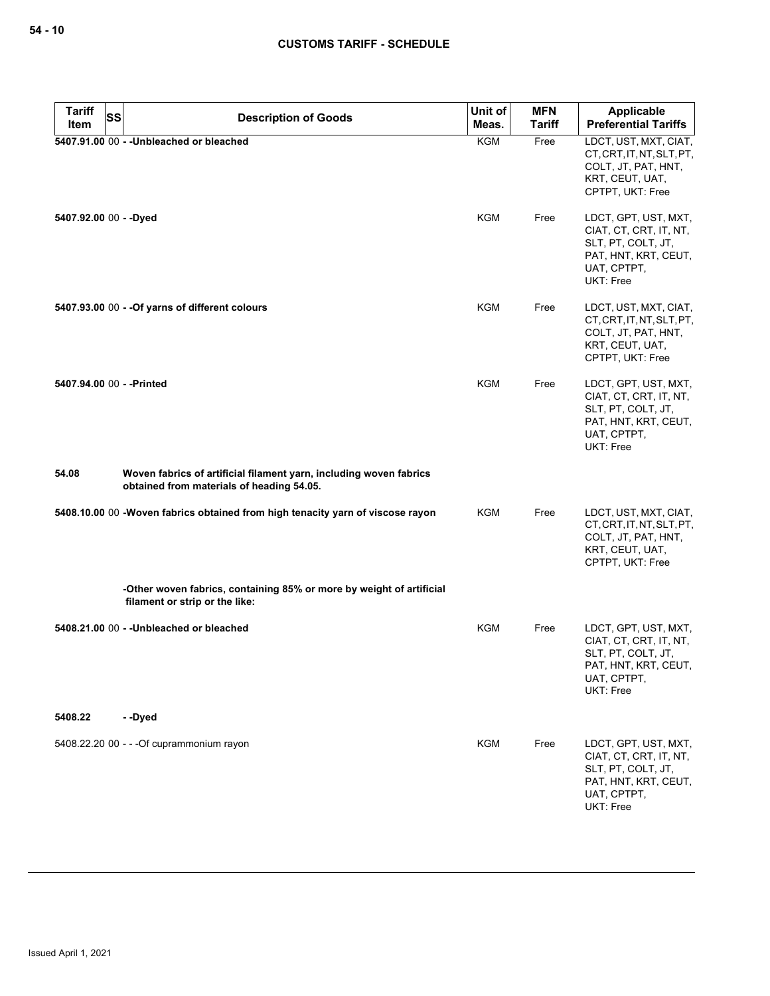|         | <b>Tariff</b> | <b>SS</b><br><b>Description of Goods</b>                                                                        | Unit of    | <b>MFN</b>    | Applicable                                                                                                               |
|---------|---------------|-----------------------------------------------------------------------------------------------------------------|------------|---------------|--------------------------------------------------------------------------------------------------------------------------|
|         | Item          |                                                                                                                 | Meas.      | <b>Tariff</b> | <b>Preferential Tariffs</b>                                                                                              |
|         |               | 5407.91.00 00 - - Unbleached or bleached                                                                        | <b>KGM</b> | Free          | LDCT, UST, MXT, CIAT,<br>CT, CRT, IT, NT, SLT, PT,<br>COLT, JT, PAT, HNT,<br>KRT, CEUT, UAT,<br>CPTPT, UKT: Free         |
|         |               | 5407.92.00 00 - - Dyed                                                                                          | KGM        | Free          | LDCT, GPT, UST, MXT,<br>CIAT, CT, CRT, IT, NT,<br>SLT, PT, COLT, JT,<br>PAT, HNT, KRT, CEUT,<br>UAT, CPTPT,<br>UKT: Free |
|         |               | 5407.93.00 00 - - Of yarns of different colours                                                                 | KGM        | Free          | LDCT, UST, MXT, CIAT,<br>CT, CRT, IT, NT, SLT, PT,<br>COLT, JT, PAT, HNT,<br>KRT, CEUT, UAT,<br>CPTPT, UKT: Free         |
|         |               | 5407.94.00 00 - - Printed                                                                                       | KGM        | Free          | LDCT, GPT, UST, MXT,<br>CIAT, CT, CRT, IT, NT,<br>SLT, PT, COLT, JT,<br>PAT, HNT, KRT, CEUT,<br>UAT, CPTPT,<br>UKT: Free |
| 54.08   |               | Woven fabrics of artificial filament yarn, including woven fabrics<br>obtained from materials of heading 54.05. |            |               |                                                                                                                          |
|         |               | 5408.10.00 00 -Woven fabrics obtained from high tenacity yarn of viscose rayon                                  | KGM        | Free          | LDCT, UST, MXT, CIAT,<br>CT, CRT, IT, NT, SLT, PT,<br>COLT, JT, PAT, HNT,<br>KRT, CEUT, UAT,<br>CPTPT, UKT: Free         |
|         |               | -Other woven fabrics, containing 85% or more by weight of artificial<br>filament or strip or the like:          |            |               |                                                                                                                          |
|         |               | 5408.21.00 00 - - Unbleached or bleached                                                                        | <b>KGM</b> | Free          | LDCT, GPT, UST, MXT,<br>CIAT, CT, CRT, IT, NT,<br>SLT, PT, COLT, JT,<br>PAT, HNT, KRT, CEUT,<br>UAT, CPTPT,<br>UKT: Free |
| 5408.22 |               | --Dyed                                                                                                          |            |               |                                                                                                                          |
|         |               | 5408.22.20 00 - - - Of cuprammonium rayon                                                                       | <b>KGM</b> | Free          | LDCT, GPT, UST, MXT,<br>CIAT, CT, CRT, IT, NT,<br>SLT, PT, COLT, JT,<br>PAT, HNT, KRT, CEUT,<br>UAT, CPTPT,<br>UKT: Free |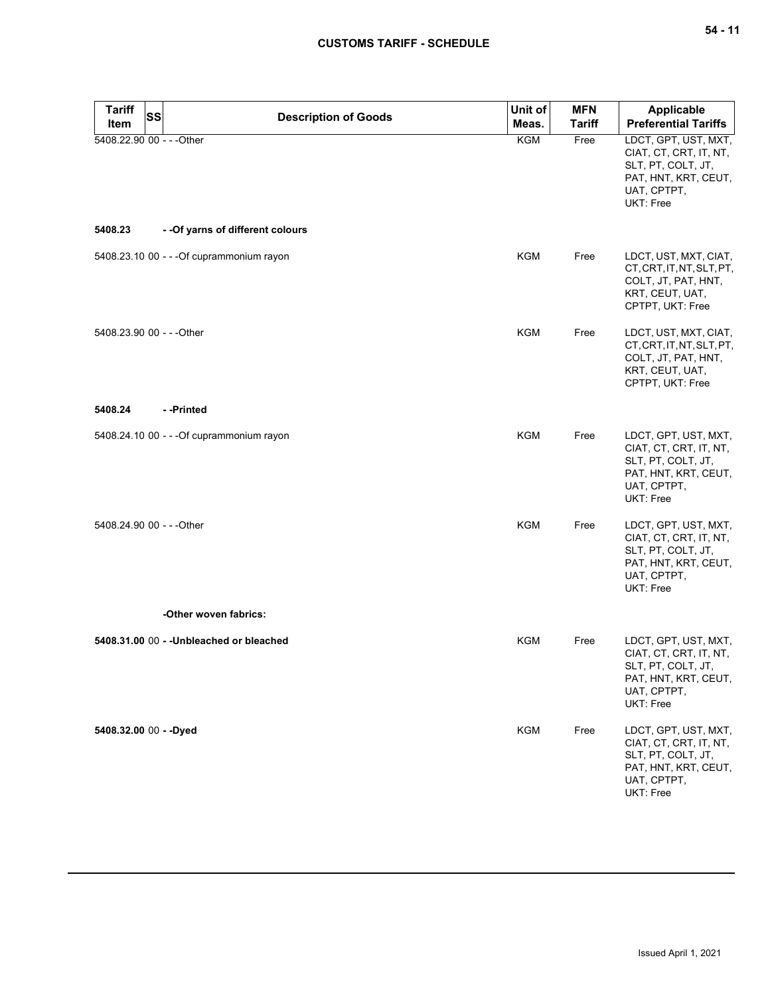# **CUSTOMS TARIFF - SCHEDULE**

| Tariff<br><b>Item</b>     | SS | <b>Description of Goods</b>               | Unit of<br>Meas. | <b>MFN</b><br><b>Tariff</b> | <b>Applicable</b><br><b>Preferential Tariffs</b>                                                                         |
|---------------------------|----|-------------------------------------------|------------------|-----------------------------|--------------------------------------------------------------------------------------------------------------------------|
| 5408.22.90 00 - - - Other |    |                                           | KGM              | Free                        | LDCT, GPT, UST, MXT,<br>CIAT, CT, CRT, IT, NT,<br>SLT, PT, COLT, JT,<br>PAT, HNT, KRT, CEUT,<br>UAT, CPTPT,<br>UKT: Free |
| 5408.23                   |    | - - Of yarns of different colours         |                  |                             |                                                                                                                          |
|                           |    | 5408.23.10 00 - - - Of cuprammonium rayon | <b>KGM</b>       | Free                        | LDCT, UST, MXT, CIAT,<br>CT, CRT, IT, NT, SLT, PT,<br>COLT, JT, PAT, HNT,<br>KRT, CEUT, UAT,<br>CPTPT, UKT: Free         |
| 5408.23.90 00 - - - Other |    |                                           | <b>KGM</b>       | Free                        | LDCT, UST, MXT, CIAT,<br>CT, CRT, IT, NT, SLT, PT,<br>COLT, JT, PAT, HNT,<br>KRT, CEUT, UAT,<br>CPTPT, UKT: Free         |
| 5408.24                   |    | --Printed                                 |                  |                             |                                                                                                                          |
|                           |    | 5408.24.10 00 - - - Of cuprammonium rayon | <b>KGM</b>       | Free                        | LDCT, GPT, UST, MXT,<br>CIAT, CT, CRT, IT, NT,<br>SLT, PT, COLT, JT,<br>PAT, HNT, KRT, CEUT,<br>UAT, CPTPT,<br>UKT: Free |
| 5408.24.90 00 - - - Other |    |                                           | <b>KGM</b>       | Free                        | LDCT, GPT, UST, MXT,<br>CIAT, CT, CRT, IT, NT,<br>SLT, PT, COLT, JT,<br>PAT, HNT, KRT, CEUT,<br>UAT, CPTPT,<br>UKT: Free |
|                           |    | -Other woven fabrics:                     |                  |                             |                                                                                                                          |
|                           |    | 5408.31.00 00 - - Unbleached or bleached  | <b>KGM</b>       | Free                        | LDCT, GPT, UST, MXT,<br>CIAT, CT, CRT, IT, NT,<br>SLT, PT, COLT, JT,<br>PAT, HNT, KRT, CEUT,<br>UAT, CPTPT,<br>UKT: Free |
| 5408.32.00 00 - - Dyed    |    |                                           | <b>KGM</b>       | Free                        | LDCT, GPT, UST, MXT,<br>CIAT, CT, CRT, IT, NT,<br>SLT, PT, COLT, JT,<br>PAT, HNT, KRT, CEUT,<br>UAT, CPTPT,<br>UKT: Free |